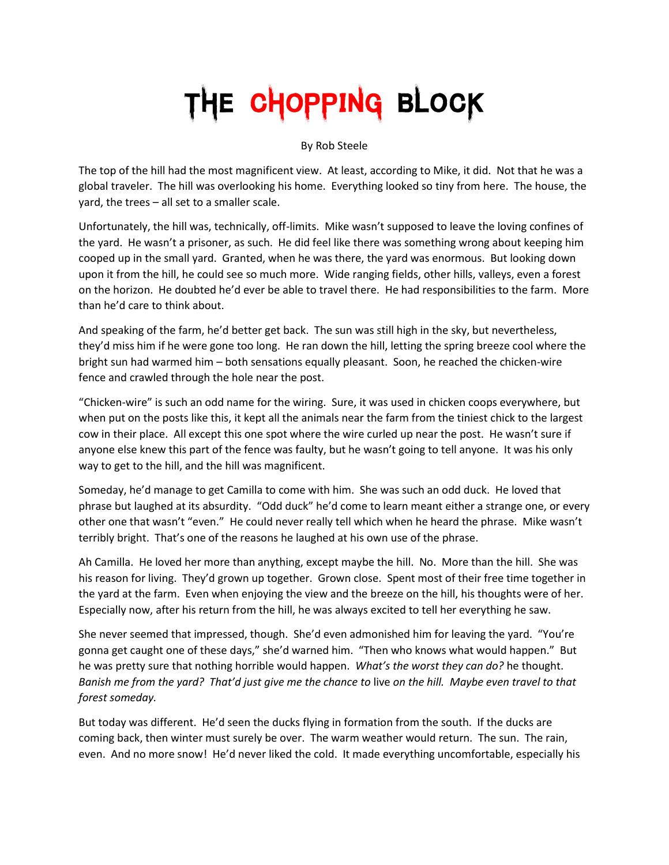## The Chopping Block

By Rob Steele

The top of the hill had the most magnificent view. At least, according to Mike, it did. Not that he was a global traveler. The hill was overlooking his home. Everything looked so tiny from here. The house, the yard, the trees – all set to a smaller scale.

Unfortunately, the hill was, technically, off-limits. Mike wasn't supposed to leave the loving confines of the yard. He wasn't a prisoner, as such. He did feel like there was something wrong about keeping him cooped up in the small yard. Granted, when he was there, the yard was enormous. But looking down upon it from the hill, he could see so much more. Wide ranging fields, other hills, valleys, even a forest on the horizon. He doubted he'd ever be able to travel there. He had responsibilities to the farm. More than he'd care to think about.

And speaking of the farm, he'd better get back. The sun was still high in the sky, but nevertheless, they'd miss him if he were gone too long. He ran down the hill, letting the spring breeze cool where the bright sun had warmed him – both sensations equally pleasant. Soon, he reached the chicken-wire fence and crawled through the hole near the post.

"Chicken-wire" is such an odd name for the wiring. Sure, it was used in chicken coops everywhere, but when put on the posts like this, it kept all the animals near the farm from the tiniest chick to the largest cow in their place. All except this one spot where the wire curled up near the post. He wasn't sure if anyone else knew this part of the fence was faulty, but he wasn't going to tell anyone. It was his only way to get to the hill, and the hill was magnificent.

Someday, he'd manage to get Camilla to come with him. She was such an odd duck. He loved that phrase but laughed at its absurdity. "Odd duck" he'd come to learn meant either a strange one, or every other one that wasn't "even." He could never really tell which when he heard the phrase. Mike wasn't terribly bright. That's one of the reasons he laughed at his own use of the phrase.

Ah Camilla. He loved her more than anything, except maybe the hill. No. More than the hill. She was his reason for living. They'd grown up together. Grown close. Spent most of their free time together in the yard at the farm. Even when enjoying the view and the breeze on the hill, his thoughts were of her. Especially now, after his return from the hill, he was always excited to tell her everything he saw.

She never seemed that impressed, though. She'd even admonished him for leaving the yard. "You're gonna get caught one of these days," she'd warned him. "Then who knows what would happen." But he was pretty sure that nothing horrible would happen. *What's the worst they can do?* he thought. *Banish me from the yard? That'd just give me the chance to* live *on the hill. Maybe even travel to that forest someday.*

But today was different. He'd seen the ducks flying in formation from the south. If the ducks are coming back, then winter must surely be over. The warm weather would return. The sun. The rain, even. And no more snow! He'd never liked the cold. It made everything uncomfortable, especially his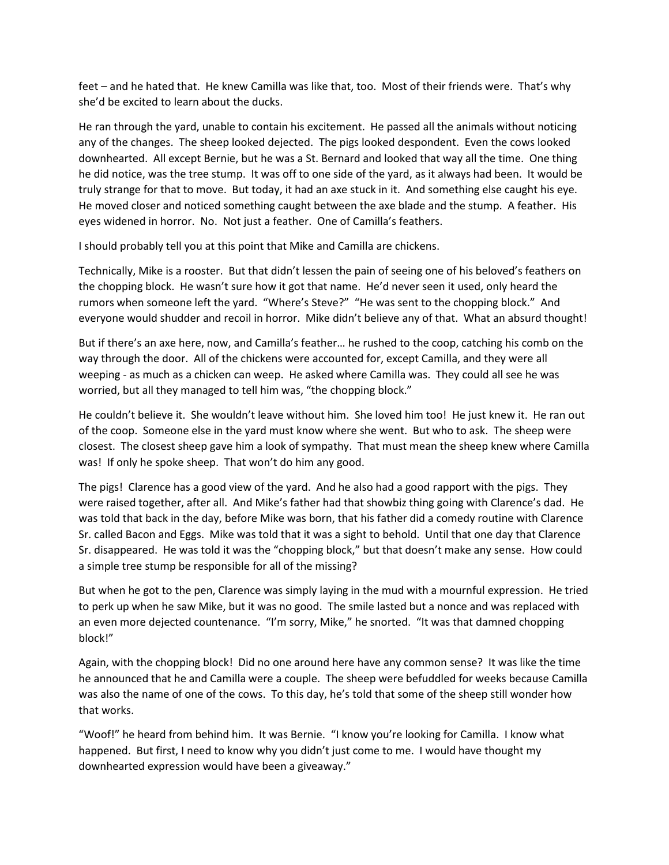feet – and he hated that. He knew Camilla was like that, too. Most of their friends were. That's why she'd be excited to learn about the ducks.

He ran through the yard, unable to contain his excitement. He passed all the animals without noticing any of the changes. The sheep looked dejected. The pigs looked despondent. Even the cows looked downhearted. All except Bernie, but he was a St. Bernard and looked that way all the time. One thing he did notice, was the tree stump. It was off to one side of the yard, as it always had been. It would be truly strange for that to move. But today, it had an axe stuck in it. And something else caught his eye. He moved closer and noticed something caught between the axe blade and the stump. A feather. His eyes widened in horror. No. Not just a feather. One of Camilla's feathers.

I should probably tell you at this point that Mike and Camilla are chickens.

Technically, Mike is a rooster. But that didn't lessen the pain of seeing one of his beloved's feathers on the chopping block. He wasn't sure how it got that name. He'd never seen it used, only heard the rumors when someone left the yard. "Where's Steve?" "He was sent to the chopping block." And everyone would shudder and recoil in horror. Mike didn't believe any of that. What an absurd thought!

But if there's an axe here, now, and Camilla's feather… he rushed to the coop, catching his comb on the way through the door. All of the chickens were accounted for, except Camilla, and they were all weeping - as much as a chicken can weep. He asked where Camilla was. They could all see he was worried, but all they managed to tell him was, "the chopping block."

He couldn't believe it. She wouldn't leave without him. She loved him too! He just knew it. He ran out of the coop. Someone else in the yard must know where she went. But who to ask. The sheep were closest. The closest sheep gave him a look of sympathy. That must mean the sheep knew where Camilla was! If only he spoke sheep. That won't do him any good.

The pigs! Clarence has a good view of the yard. And he also had a good rapport with the pigs. They were raised together, after all. And Mike's father had that showbiz thing going with Clarence's dad. He was told that back in the day, before Mike was born, that his father did a comedy routine with Clarence Sr. called Bacon and Eggs. Mike was told that it was a sight to behold. Until that one day that Clarence Sr. disappeared. He was told it was the "chopping block," but that doesn't make any sense. How could a simple tree stump be responsible for all of the missing?

But when he got to the pen, Clarence was simply laying in the mud with a mournful expression. He tried to perk up when he saw Mike, but it was no good. The smile lasted but a nonce and was replaced with an even more dejected countenance. "I'm sorry, Mike," he snorted. "It was that damned chopping block!"

Again, with the chopping block! Did no one around here have any common sense? It was like the time he announced that he and Camilla were a couple. The sheep were befuddled for weeks because Camilla was also the name of one of the cows. To this day, he's told that some of the sheep still wonder how that works.

"Woof!" he heard from behind him. It was Bernie. "I know you're looking for Camilla. I know what happened. But first, I need to know why you didn't just come to me. I would have thought my downhearted expression would have been a giveaway."